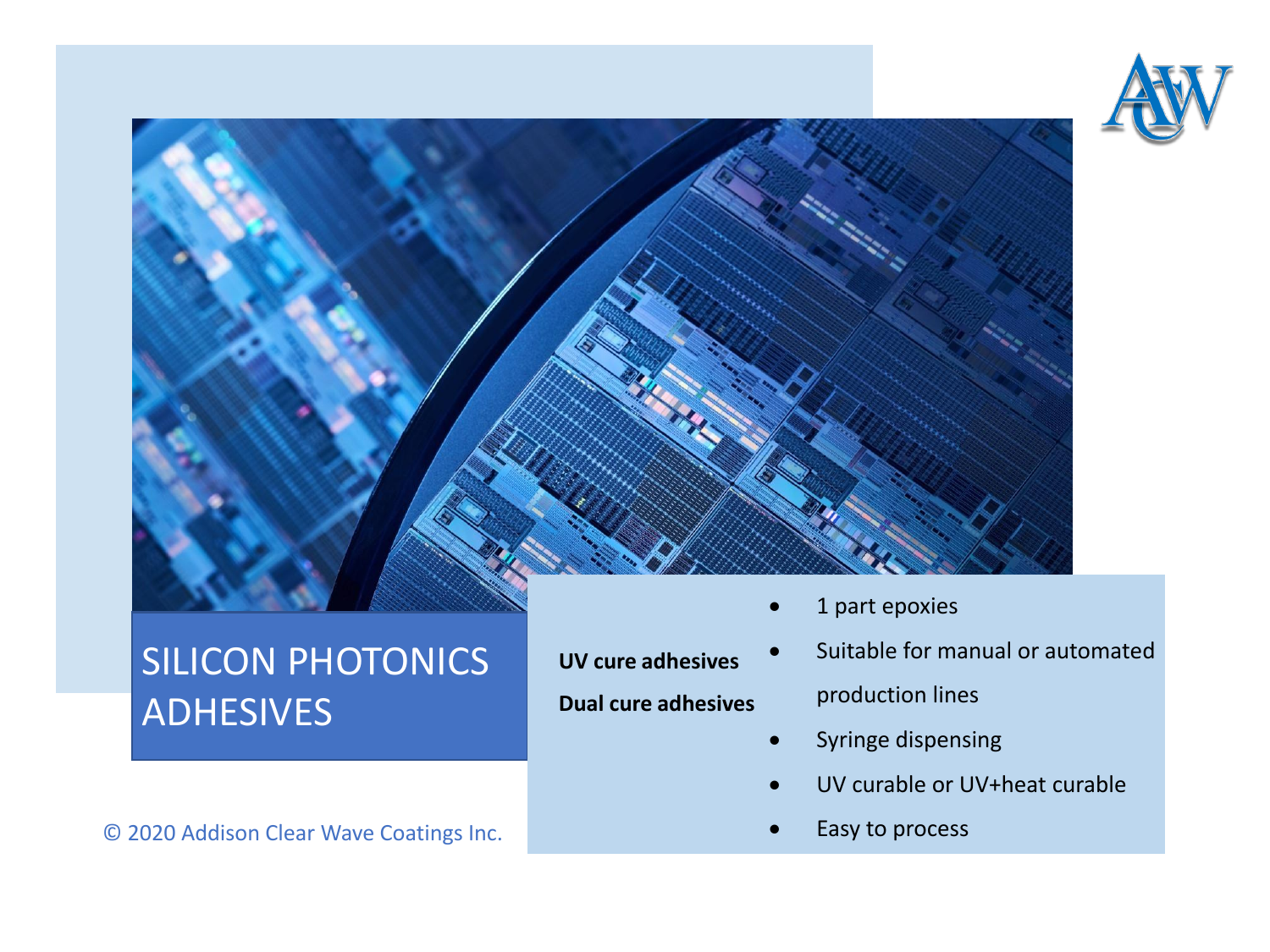



## SILICON PHOTONICS ADHESIVES

© 2020 Addison Clear Wave Coatings Inc.

**UV cure adhesives Dual cure adhesives**

- 1 part epoxies
- Suitable for manual or automated production lines
- Syringe dispensing
- UV curable or UV+heat curable
- Easy to process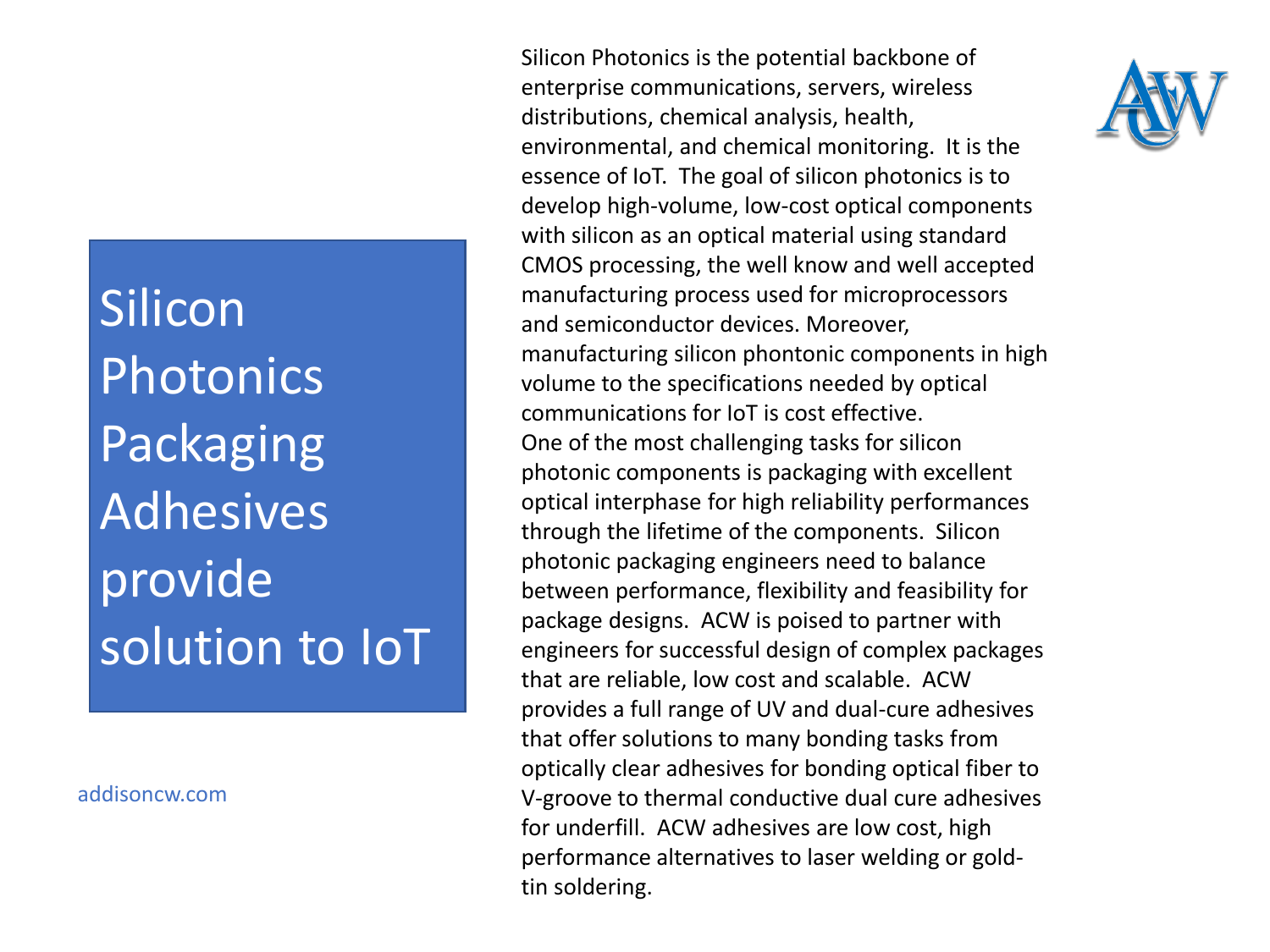Silicon Photonics Packaging Adhesives provide solution to IoT

addisoncw.com

Silicon Photonics is the potential backbone of enterprise communications, servers, wireless distributions, chemical analysis, health, environmental, and chemical monitoring. It is the essence of IoT. The goal of silicon photonics is to develop high-volume, low-cost optical components with silicon as an optical material using standard CMOS processing, the well know and well accepted manufacturing process used for microprocessors and semiconductor devices. Moreover, manufacturing silicon phontonic components in high volume to the specifications needed by optical communications for IoT is cost effective. One of the most challenging tasks for silicon photonic components is packaging with excellent optical interphase for high reliability performances through the lifetime of the components. Silicon photonic packaging engineers need to balance between performance, flexibility and feasibility for package designs. ACW is poised to partner with engineers for successful design of complex packages that are reliable, low cost and scalable. ACW provides a full range of UV and dual-cure adhesives that offer solutions to many bonding tasks from optically clear adhesives for bonding optical fiber to V-groove to thermal conductive dual cure adhesives for underfill. ACW adhesives are low cost, high performance alternatives to laser welding or goldtin soldering.

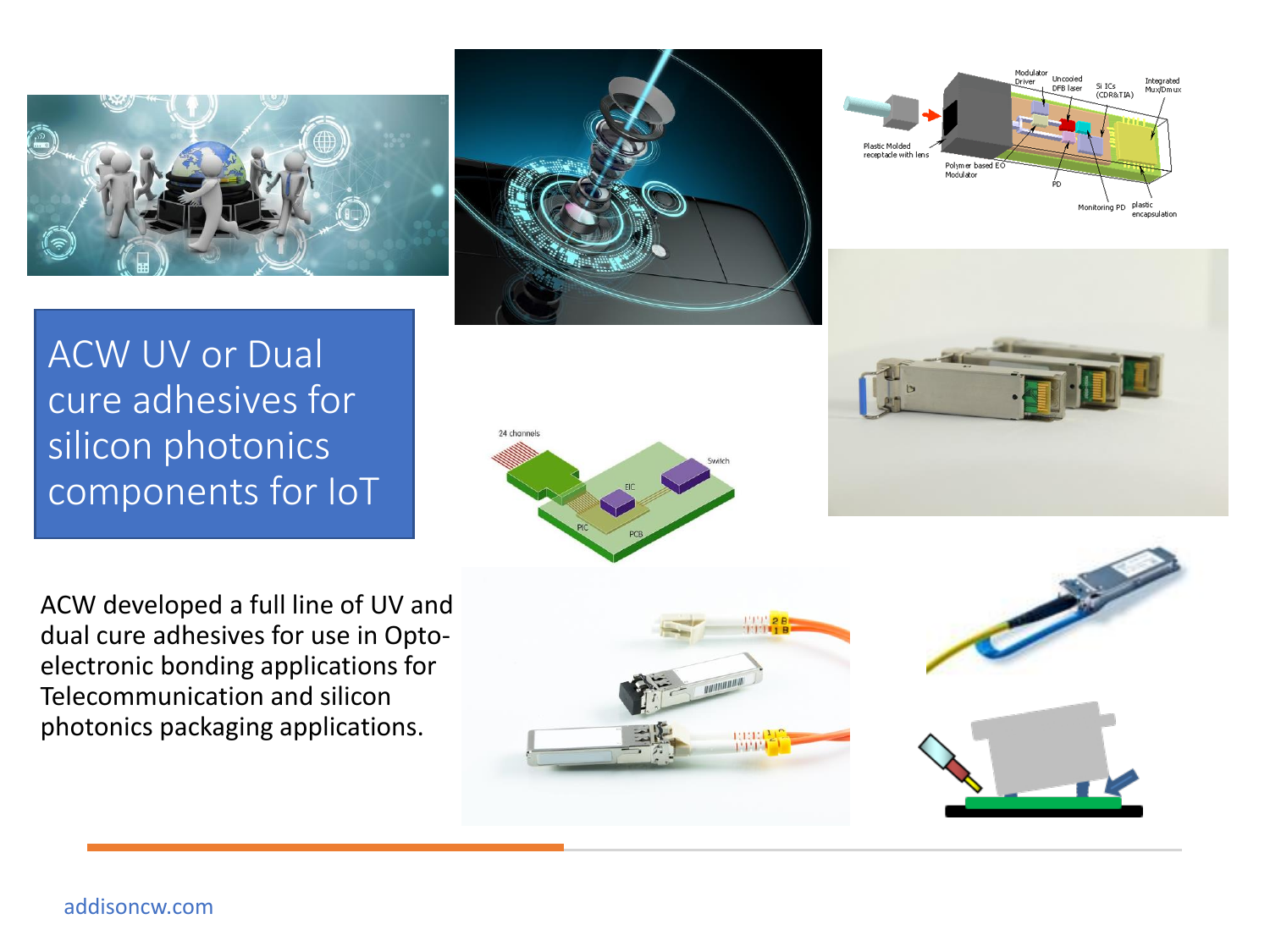







ACW UV or Dual cure adhesives for silicon photonics components for IoT

ACW developed a full line of UV and dual cure adhesives for use in Optoelectronic bonding applications for Telecommunication and silicon photonics packaging applications.







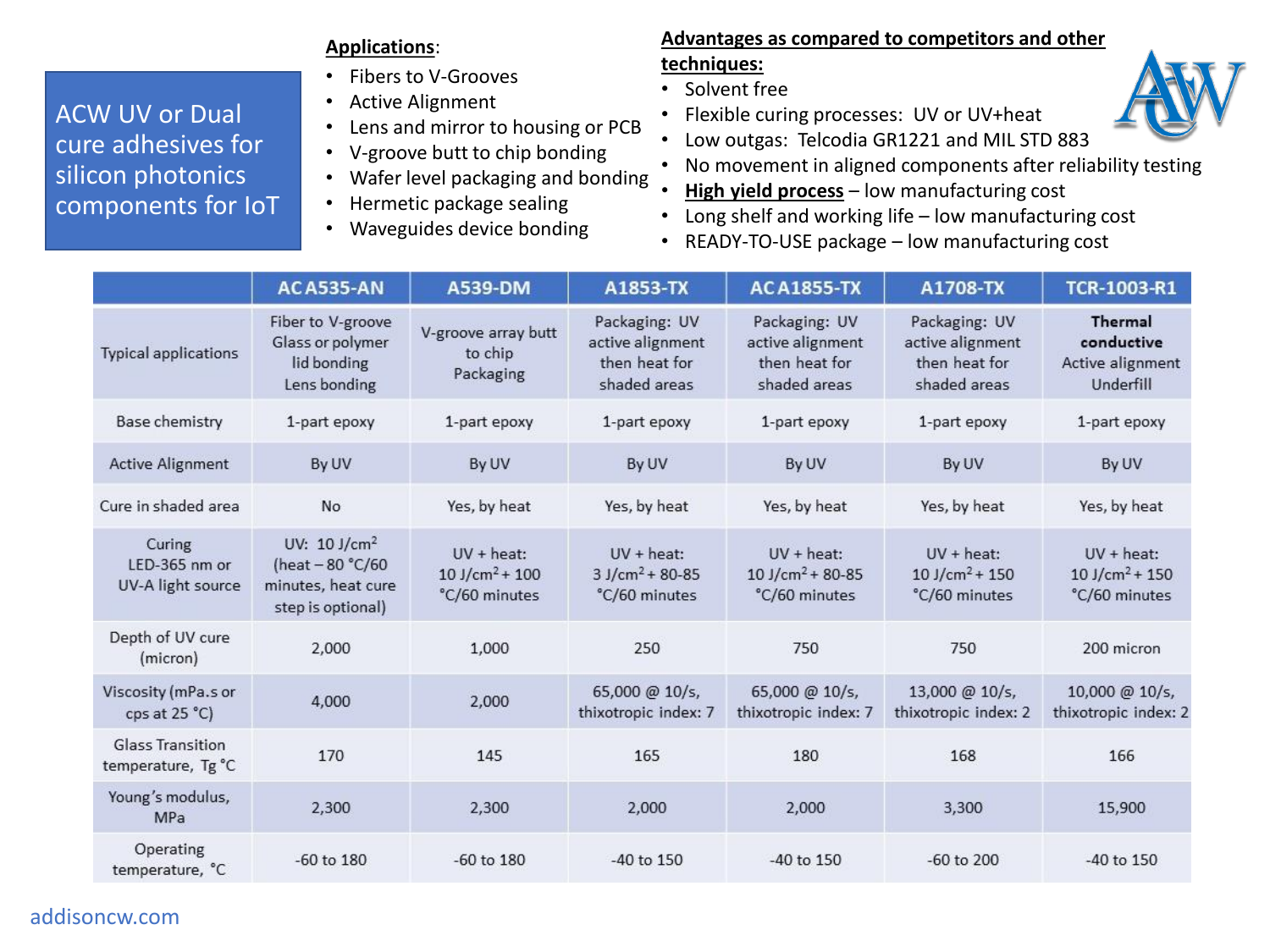#### **Applications**:

- Fibers to V-Grooves
- Active Alignment
- Lens and mirror to housing or PCB
- V-groove butt to chip bonding
- Wafer level packaging and bonding
- Hermetic package sealing
- Waveguides device bonding

#### **Advantages as compared to competitors and other techniques:**

- Solvent free
- Flexible curing processes: UV or UV+heat
- Low outgas: Telcodia GR1221 and MIL STD 883
- No movement in aligned components after reliability testing
- **High yield process** low manufacturing cost
- Long shelf and working life low manufacturing cost
- READY-TO-USE package low manufacturing cost

|                                               | <b>ACA535-AN</b>                                                                          | A539-DM                                                        | A1853-TX                                                           | <b>ACA1855-TX</b>                                                  | A1708-TX                                                           | TCR-1003-R1                                                    |
|-----------------------------------------------|-------------------------------------------------------------------------------------------|----------------------------------------------------------------|--------------------------------------------------------------------|--------------------------------------------------------------------|--------------------------------------------------------------------|----------------------------------------------------------------|
| Typical applications                          | Fiber to V-groove<br>Glass or polymer<br>lid bonding<br>Lens bonding                      | V-groove array butt<br>to chip<br>Packaging                    | Packaging: UV<br>active alignment<br>then heat for<br>shaded areas | Packaging: UV<br>active alignment<br>then heat for<br>shaded areas | Packaging: UV<br>active alignment<br>then heat for<br>shaded areas | Thermal<br>conductive<br>Active alignment<br>Underfill         |
| Base chemistry                                | 1-part epoxy                                                                              | 1-part epoxy                                                   | 1-part epoxy                                                       | 1-part epoxy                                                       | 1-part epoxy                                                       | 1-part epoxy                                                   |
| <b>Active Alignment</b>                       | By UV                                                                                     | By UV                                                          | By UV                                                              | By UV                                                              | By UV                                                              | By UV                                                          |
| Cure in shaded area                           | No                                                                                        | Yes, by heat                                                   | Yes, by heat                                                       | Yes, by heat                                                       | Yes, by heat                                                       | Yes, by heat                                                   |
| Curing<br>LED-365 nm or<br>UV-A light source  | UV: $10$ J/cm <sup>2</sup><br>(heat - 80 °C/60<br>minutes, heat cure<br>step is optional) | $UV + heat$ :<br>$10$ J/cm <sup>2</sup> + 100<br>°C/60 minutes | $UV + heat$ :<br>$3$ J/cm <sup>2</sup> + 80-85<br>°C/60 minutes    | $UV + heat$ :<br>10 J/cm <sup>2</sup> + 80-85<br>°C/60 minutes     | $UV + heat$ :<br>$10$ J/cm <sup>2</sup> + 150<br>°C/60 minutes     | $UV + heat$ :<br>$10$ J/cm <sup>2</sup> + 150<br>°C/60 minutes |
| Depth of UV cure<br>(micron)                  | 2,000                                                                                     | 1,000                                                          | 250                                                                | 750                                                                | 750                                                                | 200 micron                                                     |
| Viscosity (mPa.s or<br>cps at $25^{\circ}$ C) | 4,000                                                                                     | 2,000                                                          | 65,000 @ 10/s,<br>thixotropic index: 7                             | 65,000 @ 10/s,<br>thixotropic index: 7                             | 13,000 @ 10/s,<br>thixotropic index: 2                             | 10,000 @ 10/s,<br>thixotropic index: 2                         |
| <b>Glass Transition</b><br>temperature, Tg °C | 170                                                                                       | 145                                                            | 165                                                                | 180                                                                | 168                                                                | 166                                                            |
| Young's modulus,<br>MPa                       | 2,300                                                                                     | 2,300                                                          | 2,000                                                              | 2,000                                                              | 3,300                                                              | 15,900                                                         |
| Operating<br>temperature, °C                  | $-60$ to $180$                                                                            | $-60$ to $180$                                                 | -40 to 150                                                         | -40 to 150                                                         | $-60$ to $200$                                                     | -40 to 150                                                     |



### ACW UV or Dual cure adhesives for silicon photonics components for IoT

addisoncw.com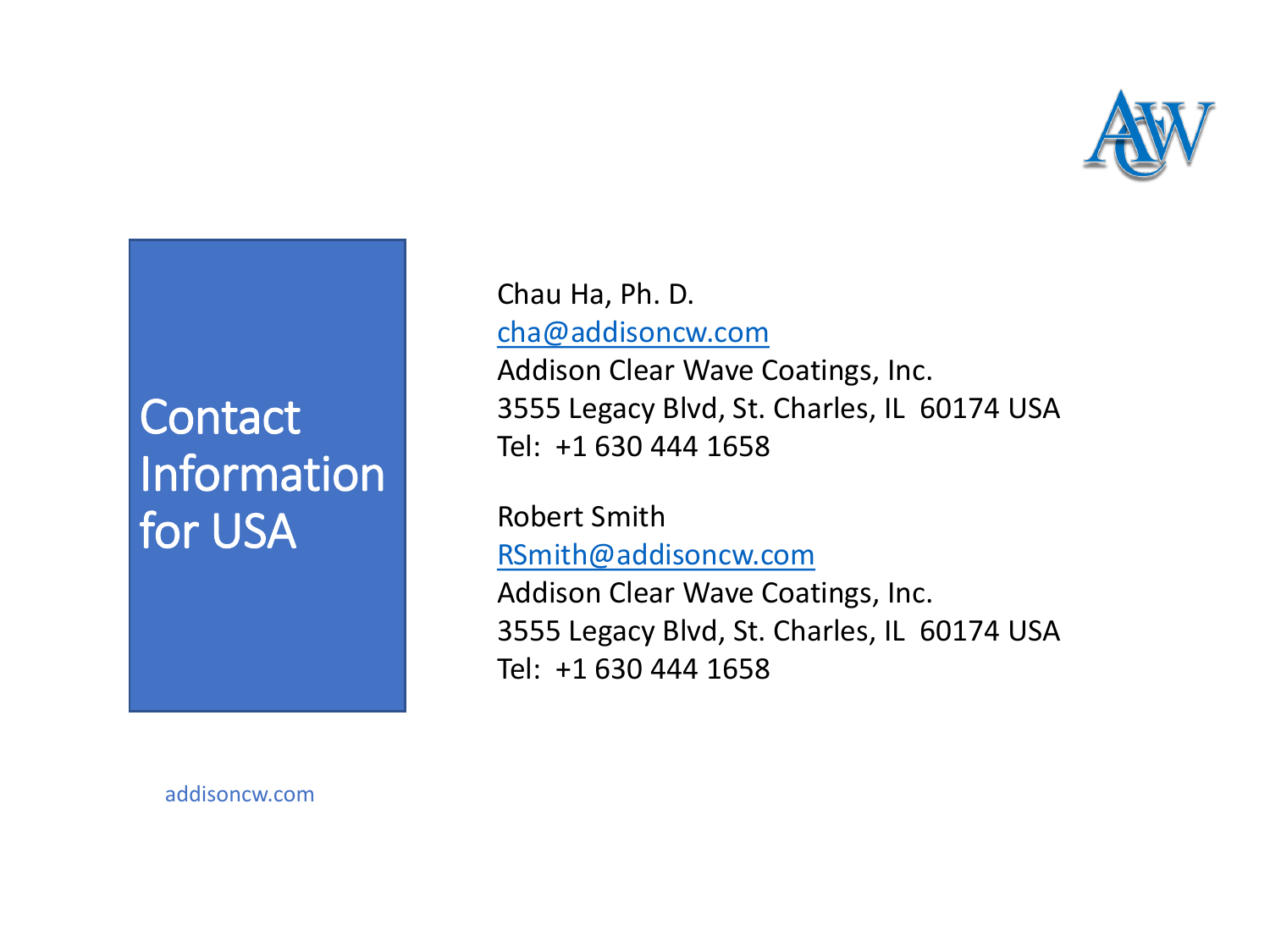

# **Contact** Information for USA

Chau Ha, Ph. D. [cha@addisoncw.com](mailto:cha@addisoncw.com) Addison Clear Wave Coatings, Inc. 3555 Legacy Blvd, St. Charles, IL 60174 USA Tel: +1 630 444 1658

Robert Smith [RSmith@addisoncw.com](mailto:cha@addisoncw.com) Addison Clear Wave Coatings, Inc. 3555 Legacy Blvd, St. Charles, IL 60174 USA Tel: +1 630 444 1658

addisoncw.com